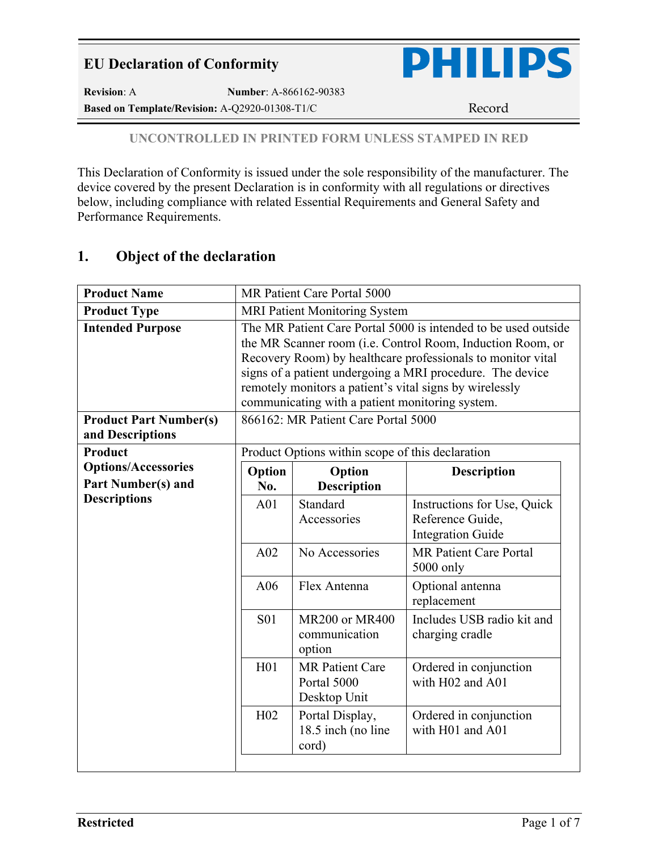

**Revision**: A **Number**: A-866162-90383 Based on Template/Revision: A-Q2920-01308-T1/C Record

#### **UNCONTROLLED IN PRINTED FORM UNLESS STAMPED IN RED**

This Declaration of Conformity is issued under the sole responsibility of the manufacturer. The device covered by the present Declaration is in conformity with all regulations or directives below, including compliance with related Essential Requirements and General Safety and Performance Requirements.

# **1. Object of the declaration**

| <b>Product Name</b>                                     |                 | MR Patient Care Portal 5000                           |                                                                                                                                                                                                                                                                                                                             |
|---------------------------------------------------------|-----------------|-------------------------------------------------------|-----------------------------------------------------------------------------------------------------------------------------------------------------------------------------------------------------------------------------------------------------------------------------------------------------------------------------|
| <b>Product Type</b>                                     |                 | MRI Patient Monitoring System                         |                                                                                                                                                                                                                                                                                                                             |
| <b>Intended Purpose</b>                                 |                 | communicating with a patient monitoring system.       | The MR Patient Care Portal 5000 is intended to be used outside<br>the MR Scanner room ( <i>i.e.</i> Control Room, Induction Room, or<br>Recovery Room) by healthcare professionals to monitor vital<br>signs of a patient undergoing a MRI procedure. The device<br>remotely monitors a patient's vital signs by wirelessly |
| <b>Product Part Number(s)</b><br>and Descriptions       |                 | 866162: MR Patient Care Portal 5000                   |                                                                                                                                                                                                                                                                                                                             |
| <b>Product</b>                                          |                 | Product Options within scope of this declaration      |                                                                                                                                                                                                                                                                                                                             |
| <b>Options/Accessories</b><br><b>Part Number(s) and</b> | Option<br>No.   | Option<br><b>Description</b>                          | <b>Description</b>                                                                                                                                                                                                                                                                                                          |
| <b>Descriptions</b>                                     | A01             | Standard<br>Accessories                               | Instructions for Use, Quick<br>Reference Guide,<br><b>Integration Guide</b>                                                                                                                                                                                                                                                 |
|                                                         | A02             | No Accessories                                        | <b>MR Patient Care Portal</b><br>5000 only                                                                                                                                                                                                                                                                                  |
|                                                         | A06             | Flex Antenna                                          | Optional antenna<br>replacement                                                                                                                                                                                                                                                                                             |
|                                                         | <b>S01</b>      | <b>MR200 or MR400</b><br>communication<br>option      | Includes USB radio kit and<br>charging cradle                                                                                                                                                                                                                                                                               |
|                                                         | H <sub>01</sub> | <b>MR</b> Patient Care<br>Portal 5000<br>Desktop Unit | Ordered in conjunction<br>with H02 and A01                                                                                                                                                                                                                                                                                  |
|                                                         | H02             | Portal Display,<br>18.5 inch (no line<br>cord)        | Ordered in conjunction<br>with H01 and A01                                                                                                                                                                                                                                                                                  |
|                                                         |                 |                                                       |                                                                                                                                                                                                                                                                                                                             |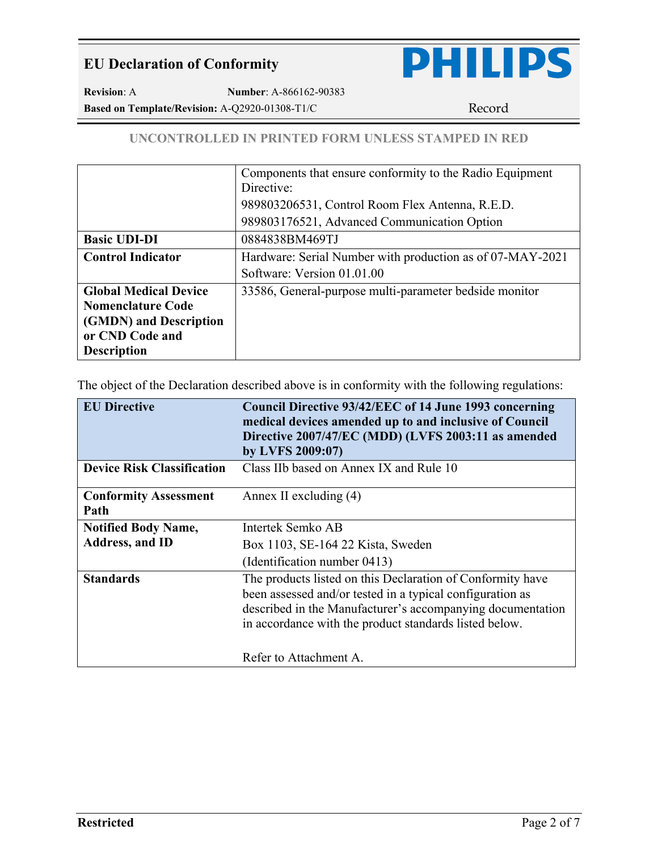

**Revision**: A **Number**: A-866162-90383 Based on Template/Revision: A-Q2920-01308-T1/C Record

#### **UNCONTROLLED IN PRINTED FORM UNLESS STAMPED IN RED**

|                              | Components that ensure conformity to the Radio Equipment  |
|------------------------------|-----------------------------------------------------------|
|                              | Directive:                                                |
|                              | 989803206531, Control Room Flex Antenna, R.E.D.           |
|                              | 989803176521, Advanced Communication Option               |
| <b>Basic UDI-DI</b>          | 0884838BM469TJ                                            |
| <b>Control Indicator</b>     | Hardware: Serial Number with production as of 07-MAY-2021 |
|                              | Software: Version 01.01.00                                |
| <b>Global Medical Device</b> | 33586, General-purpose multi-parameter bedside monitor    |
| <b>Nomenclature Code</b>     |                                                           |
| (GMDN) and Description       |                                                           |
| or CND Code and              |                                                           |
| <b>Description</b>           |                                                           |

The object of the Declaration described above is in conformity with the following regulations:

| <b>EU Directive</b>                  | Council Directive 93/42/EEC of 14 June 1993 concerning<br>medical devices amended up to and inclusive of Council<br>Directive 2007/47/EC (MDD) (LVFS 2003:11 as amended<br>by LVFS 2009:07)                                                     |
|--------------------------------------|-------------------------------------------------------------------------------------------------------------------------------------------------------------------------------------------------------------------------------------------------|
| <b>Device Risk Classification</b>    | Class IIb based on Annex IX and Rule 10                                                                                                                                                                                                         |
| <b>Conformity Assessment</b><br>Path | Annex II excluding (4)                                                                                                                                                                                                                          |
| <b>Notified Body Name,</b>           | Intertek Semko AB                                                                                                                                                                                                                               |
| <b>Address</b> , and ID              | Box 1103, SE-164 22 Kista, Sweden                                                                                                                                                                                                               |
|                                      | (Identification number 0413)                                                                                                                                                                                                                    |
| <b>Standards</b>                     | The products listed on this Declaration of Conformity have<br>been assessed and/or tested in a typical configuration as<br>described in the Manufacturer's accompanying documentation<br>in accordance with the product standards listed below. |
|                                      | Refer to Attachment A.                                                                                                                                                                                                                          |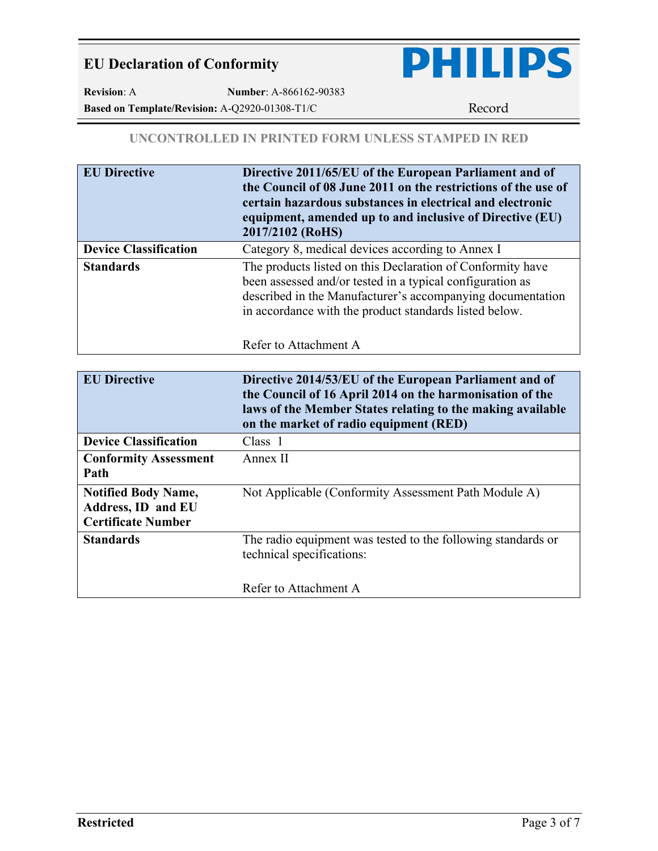

**Revision**: A **Number**: A-866162-90383 Based on Template/Revision: A-Q2920-01308-T1/C Record

#### **UNCONTROLLED IN PRINTED FORM UNLESS STAMPED IN RED**

| <b>EU Directive</b>          | Directive 2011/65/EU of the European Parliament and of<br>the Council of 08 June 2011 on the restrictions of the use of<br>certain hazardous substances in electrical and electronic<br>equipment, amended up to and inclusive of Directive (EU)<br>2017/2102 (RoHS)     |
|------------------------------|--------------------------------------------------------------------------------------------------------------------------------------------------------------------------------------------------------------------------------------------------------------------------|
| <b>Device Classification</b> | Category 8, medical devices according to Annex I                                                                                                                                                                                                                         |
| <b>Standards</b>             | The products listed on this Declaration of Conformity have<br>been assessed and/or tested in a typical configuration as<br>described in the Manufacturer's accompanying documentation<br>in accordance with the product standards listed below.<br>Refer to Attachment A |

| <b>EU Directive</b>                                                           | Directive 2014/53/EU of the European Parliament and of<br>the Council of 16 April 2014 on the harmonisation of the<br>laws of the Member States relating to the making available<br>on the market of radio equipment (RED) |
|-------------------------------------------------------------------------------|----------------------------------------------------------------------------------------------------------------------------------------------------------------------------------------------------------------------------|
| <b>Device Classification</b>                                                  | Class 1                                                                                                                                                                                                                    |
| <b>Conformity Assessment</b><br>Path                                          | Annex II                                                                                                                                                                                                                   |
| <b>Notified Body Name,</b><br>Address, ID and EU<br><b>Certificate Number</b> | Not Applicable (Conformity Assessment Path Module A)                                                                                                                                                                       |
| <b>Standards</b>                                                              | The radio equipment was tested to the following standards or<br>technical specifications:                                                                                                                                  |
|                                                                               | Refer to Attachment A                                                                                                                                                                                                      |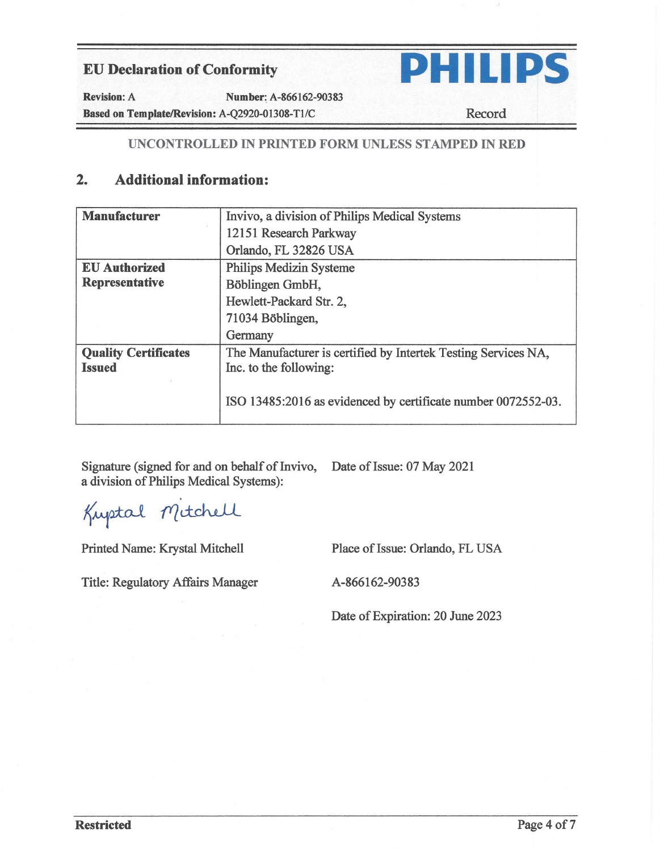

Revision: A **Number:\_** A-866162-90383 **Based on Template/Revision: A-Q2920-01308-T1/C Record** 

## **UNCONTROLLED** IN **PRINTED FORM UNLESS ST AMPED IN RED**

# **2. Additional information:**

| <b>Manufacturer</b>         | Invivo, a division of Philips Medical Systems                  |
|-----------------------------|----------------------------------------------------------------|
|                             | 12151 Research Parkway                                         |
|                             | Orlando, FL 32826 USA                                          |
| <b>EU</b> Authorized        | <b>Philips Medizin Systeme</b>                                 |
| <b>Representative</b>       | Böblingen GmbH,                                                |
|                             | Hewlett-Packard Str. 2,                                        |
|                             | 71034 Böblingen,                                               |
|                             | Germany                                                        |
| <b>Quality Certificates</b> | The Manufacturer is certified by Intertek Testing Services NA, |
| <b>Issued</b>               | Inc. to the following:                                         |
|                             | ISO 13485:2016 as evidenced by certificate number 0072552-03.  |

Signature (signed for and on behalf of Invivo, Date of Issue: 07 May 2021 a division of Philips Medical Systems):

Kuptal Mitchell

Printed Name: Krystal Mitchell Place of Issue: Orlando, FL USA

Title: Regulatory Affairs Manager A-866162-90383

Date of Expiration: 20 June 2023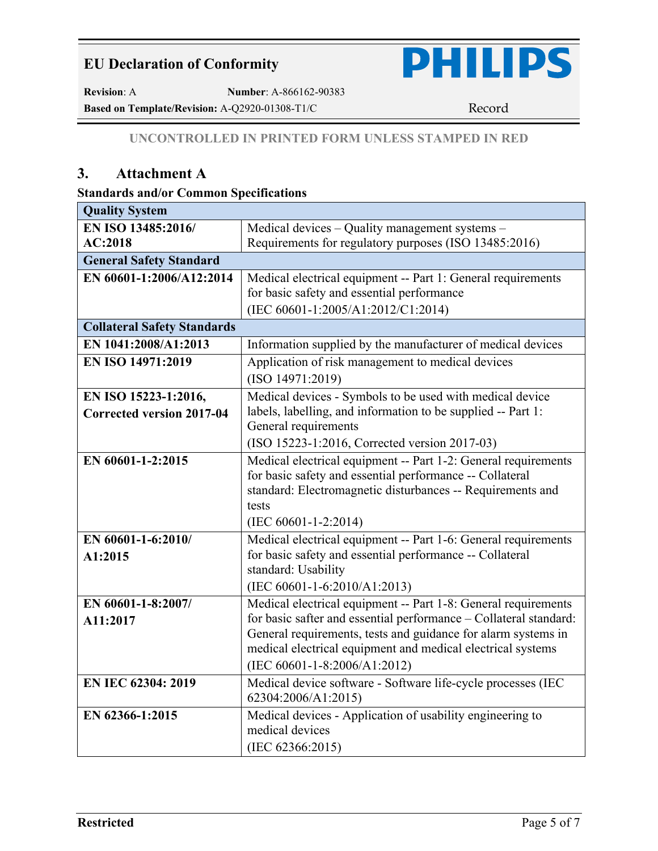

**Revision**: A **Number**: A-866162-90383

**Based on Template/Revision:** A-Q2920-01308-T1/C Record

### **UNCONTROLLED IN PRINTED FORM UNLESS STAMPED IN RED**

# **3. Attachment A**

#### **Standards and/or Common Specifications**

| <b>Quality System</b>              |                                                                                 |
|------------------------------------|---------------------------------------------------------------------------------|
| EN ISO 13485:2016/                 | Medical devices - Quality management systems -                                  |
| AC:2018                            | Requirements for regulatory purposes (ISO 13485:2016)                           |
| <b>General Safety Standard</b>     |                                                                                 |
| EN 60601-1:2006/A12:2014           | Medical electrical equipment -- Part 1: General requirements                    |
|                                    | for basic safety and essential performance                                      |
|                                    | (IEC 60601-1:2005/A1:2012/C1:2014)                                              |
| <b>Collateral Safety Standards</b> |                                                                                 |
| EN 1041:2008/A1:2013               | Information supplied by the manufacturer of medical devices                     |
| EN ISO 14971:2019                  | Application of risk management to medical devices                               |
|                                    | (ISO 14971:2019)                                                                |
| EN ISO 15223-1:2016,               | Medical devices - Symbols to be used with medical device                        |
| <b>Corrected version 2017-04</b>   | labels, labelling, and information to be supplied -- Part 1:                    |
|                                    | General requirements                                                            |
|                                    | (ISO 15223-1:2016, Corrected version 2017-03)                                   |
| EN 60601-1-2:2015                  | Medical electrical equipment -- Part 1-2: General requirements                  |
|                                    | for basic safety and essential performance -- Collateral                        |
|                                    | standard: Electromagnetic disturbances -- Requirements and                      |
|                                    | tests                                                                           |
|                                    | $(IEC 60601 - 1 - 2:2014)$                                                      |
| EN 60601-1-6:2010/                 | Medical electrical equipment -- Part 1-6: General requirements                  |
| A1:2015                            | for basic safety and essential performance -- Collateral<br>standard: Usability |
|                                    | (IEC 60601-1-6:2010/A1:2013)                                                    |
| EN 60601-1-8:2007/                 | Medical electrical equipment -- Part 1-8: General requirements                  |
| A11:2017                           | for basic safter and essential performance - Collateral standard:               |
|                                    | General requirements, tests and guidance for alarm systems in                   |
|                                    | medical electrical equipment and medical electrical systems                     |
|                                    | (IEC 60601-1-8:2006/A1:2012)                                                    |
| EN IEC 62304: 2019                 | Medical device software - Software life-cycle processes (IEC                    |
|                                    | 62304:2006/A1:2015)                                                             |
| EN 62366-1:2015                    | Medical devices - Application of usability engineering to                       |
|                                    | medical devices                                                                 |
|                                    | (IEC 62366:2015)                                                                |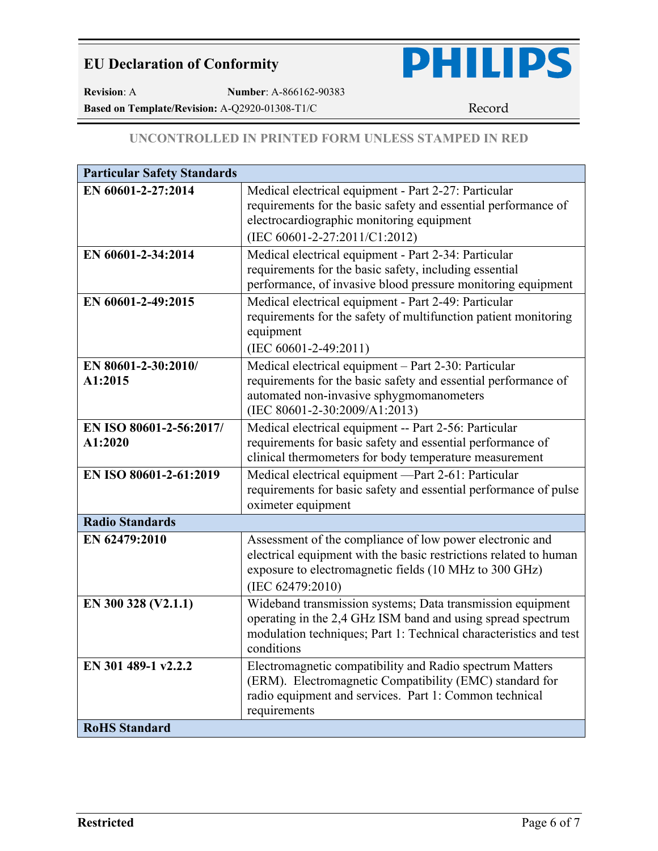

**Revision**: A **Number**: A-866162-90383

Based on Template/Revision: A-Q2920-01308-T1/C Record

### **UNCONTROLLED IN PRINTED FORM UNLESS STAMPED IN RED**

| <b>Particular Safety Standards</b> |                                                                                                                                                                                                              |
|------------------------------------|--------------------------------------------------------------------------------------------------------------------------------------------------------------------------------------------------------------|
| EN 60601-2-27:2014                 | Medical electrical equipment - Part 2-27: Particular<br>requirements for the basic safety and essential performance of<br>electrocardiographic monitoring equipment<br>(IEC 60601-2-27:2011/C1:2012)         |
| EN 60601-2-34:2014                 | Medical electrical equipment - Part 2-34: Particular<br>requirements for the basic safety, including essential<br>performance, of invasive blood pressure monitoring equipment                               |
| EN 60601-2-49:2015                 | Medical electrical equipment - Part 2-49: Particular<br>requirements for the safety of multifunction patient monitoring<br>equipment<br>(IEC 60601-2-49:2011)                                                |
| EN 80601-2-30:2010/<br>A1:2015     | Medical electrical equipment - Part 2-30: Particular<br>requirements for the basic safety and essential performance of<br>automated non-invasive sphygmomanometers<br>(IEC 80601-2-30:2009/A1:2013)          |
| EN ISO 80601-2-56:2017/<br>A1:2020 | Medical electrical equipment -- Part 2-56: Particular<br>requirements for basic safety and essential performance of<br>clinical thermometers for body temperature measurement                                |
| EN ISO 80601-2-61:2019             | Medical electrical equipment -Part 2-61: Particular<br>requirements for basic safety and essential performance of pulse<br>oximeter equipment                                                                |
| <b>Radio Standards</b>             |                                                                                                                                                                                                              |
| EN 62479:2010                      | Assessment of the compliance of low power electronic and<br>electrical equipment with the basic restrictions related to human<br>exposure to electromagnetic fields (10 MHz to 300 GHz)<br>(IEC 62479:2010)  |
| EN 300 328 (V2.1.1)                | Wideband transmission systems; Data transmission equipment<br>operating in the 2,4 GHz ISM band and using spread spectrum<br>modulation techniques; Part 1: Technical characteristics and test<br>conditions |
| EN 301 489-1 v2.2.2                | Electromagnetic compatibility and Radio spectrum Matters<br>(ERM). Electromagnetic Compatibility (EMC) standard for<br>radio equipment and services. Part 1: Common technical<br>requirements                |
| <b>RoHS</b> Standard               |                                                                                                                                                                                                              |